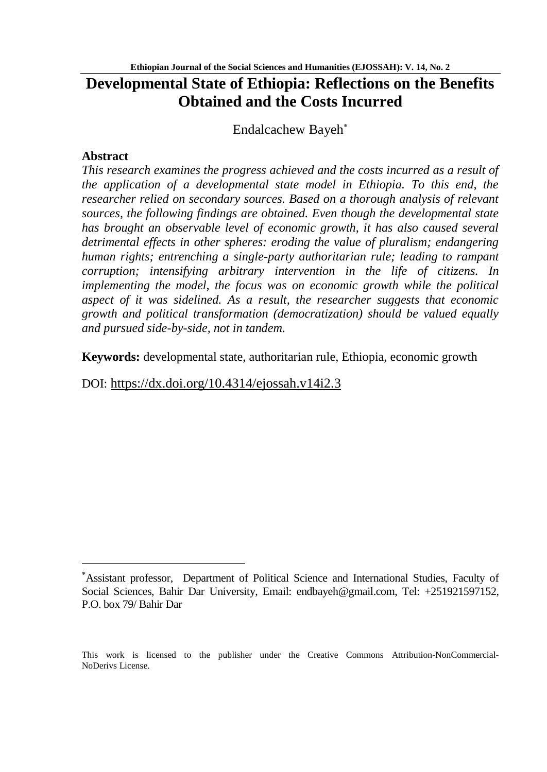# **Developmental State of Ethiopia: Reflections on the Benefits Obtained and the Costs Incurred**

Endalcachew Bayeh

## **Abstract**

 $\overline{a}$ 

*This research examines the progress achieved and the costs incurred as a result of the application of a developmental state model in Ethiopia. To this end, the researcher relied on secondary sources. Based on a thorough analysis of relevant sources, the following findings are obtained. Even though the developmental state has brought an observable level of economic growth, it has also caused several detrimental effects in other spheres: eroding the value of pluralism; endangering human rights; entrenching a single-party authoritarian rule; leading to rampant corruption; intensifying arbitrary intervention in the life of citizens. In implementing the model, the focus was on economic growth while the political aspect of it was sidelined. As a result, the researcher suggests that economic growth and political transformation (democratization) should be valued equally and pursued side-by-side, not in tandem.*

**Keywords:** developmental state, authoritarian rule, Ethiopia, economic growth

DOI: https://dx.doi.org/10.4314/ejossah.v14i2.3

Assistant professor, Department of Political Science and International Studies, Faculty of Social Sciences, Bahir Dar University, Email: [endbayeh@gmail.com,](mailto:endbayeh@gmail.com) Tel: +251921597152, P.O. box 79/ Bahir Dar

This work is licensed to the publisher under the Creative Commons Attribution-NonCommercial-NoDerivs License.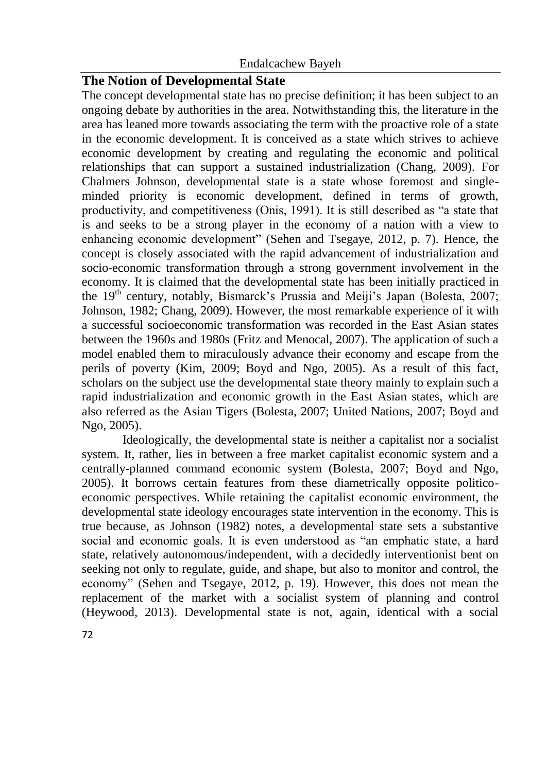# **The Notion of Developmental State**

The concept developmental state has no precise definition; it has been subject to an ongoing debate by authorities in the area. Notwithstanding this, the literature in the area has leaned more towards associating the term with the proactive role of a state in the economic development. It is conceived as a state which strives to achieve economic development by creating and regulating the economic and political relationships that can support a sustained industrialization (Chang, 2009). For Chalmers Johnson, developmental state is a state whose foremost and singleminded priority is economic development, defined in terms of growth, productivity, and competitiveness (Onis, 1991). It is still described as "a state that is and seeks to be a strong player in the economy of a nation with a view to enhancing economic development" (Sehen and Tsegaye, 2012, p. 7). Hence, the concept is closely associated with the rapid advancement of industrialization and socio-economic transformation through a strong government involvement in the economy. It is claimed that the developmental state has been initially practiced in the  $19<sup>th</sup>$  century, notably, Bismarck's Prussia and Meiji's Japan (Bolesta, 2007; Johnson, 1982; Chang, 2009). However, the most remarkable experience of it with a successful socioeconomic transformation was recorded in the East Asian states between the 1960s and 1980s (Fritz and Menocal, 2007). The application of such a model enabled them to miraculously advance their economy and escape from the perils of poverty (Kim, 2009; Boyd and Ngo, 2005). As a result of this fact, scholars on the subject use the developmental state theory mainly to explain such a rapid industrialization and economic growth in the East Asian states, which are also referred as the Asian Tigers (Bolesta, 2007; United Nations, 2007; Boyd and Ngo, 2005).

Ideologically, the developmental state is neither a capitalist nor a socialist system. It, rather, lies in between a free market capitalist economic system and a centrally-planned command economic system (Bolesta, 2007; Boyd and Ngo, 2005). It borrows certain features from these diametrically opposite politicoeconomic perspectives. While retaining the capitalist economic environment, the developmental state ideology encourages state intervention in the economy. This is true because, as Johnson (1982) notes, a developmental state sets a substantive social and economic goals. It is even understood as "an emphatic state, a hard state, relatively autonomous/independent, with a decidedly interventionist bent on seeking not only to regulate, guide, and shape, but also to monitor and control, the economy" (Sehen and Tsegaye, 2012, p. 19). However, this does not mean the replacement of the market with a socialist system of planning and control (Heywood, 2013). Developmental state is not, again, identical with a social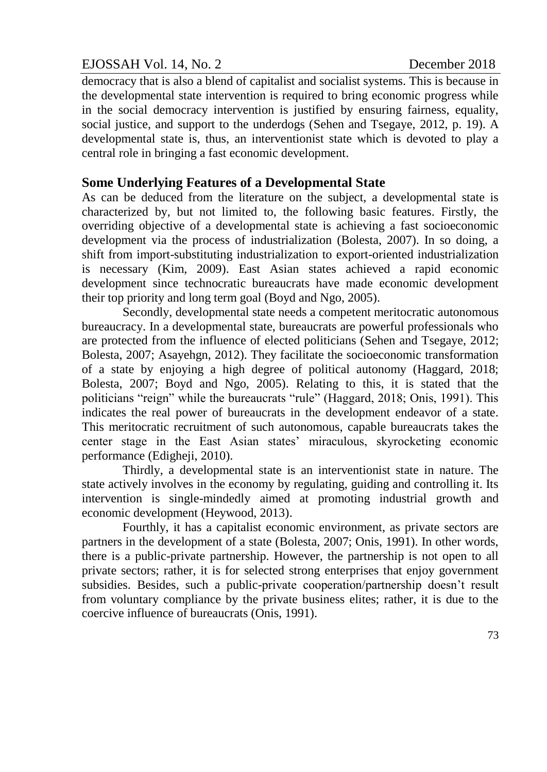democracy that is also a blend of capitalist and socialist systems. This is because in the developmental state intervention is required to bring economic progress while in the social democracy intervention is justified by ensuring fairness, equality, social justice, and support to the underdogs (Sehen and Tsegaye, 2012, p. 19). A developmental state is, thus, an interventionist state which is devoted to play a central role in bringing a fast economic development.

# **Some Underlying Features of a Developmental State**

As can be deduced from the literature on the subject, a developmental state is characterized by, but not limited to, the following basic features. Firstly, the overriding objective of a developmental state is achieving a fast socioeconomic development via the process of industrialization (Bolesta, 2007). In so doing, a shift from import-substituting industrialization to export-oriented industrialization is necessary (Kim, 2009). East Asian states achieved a rapid economic development since technocratic bureaucrats have made economic development their top priority and long term goal (Boyd and Ngo, 2005).

Secondly, developmental state needs a competent meritocratic autonomous bureaucracy. In a developmental state, bureaucrats are powerful professionals who are protected from the influence of elected politicians (Sehen and Tsegaye, 2012; Bolesta, 2007; Asayehgn, 2012). They facilitate the socioeconomic transformation of a state by enjoying a high degree of political autonomy (Haggard, 2018; Bolesta, 2007; Boyd and Ngo, 2005). Relating to this, it is stated that the politicians "reign" while the bureaucrats "rule" (Haggard, 2018; Onis, 1991). This indicates the real power of bureaucrats in the development endeavor of a state. This meritocratic recruitment of such autonomous, capable bureaucrats takes the center stage in the East Asian states' miraculous, skyrocketing economic performance (Edigheji, 2010).

Thirdly, a developmental state is an interventionist state in nature. The state actively involves in the economy by regulating, guiding and controlling it. Its intervention is single-mindedly aimed at promoting industrial growth and economic development (Heywood, 2013).

Fourthly, it has a capitalist economic environment, as private sectors are partners in the development of a state (Bolesta, 2007; Onis, 1991). In other words, there is a public-private partnership. However, the partnership is not open to all private sectors; rather, it is for selected strong enterprises that enjoy government subsidies. Besides, such a public-private cooperation/partnership doesn't result from voluntary compliance by the private business elites; rather, it is due to the coercive influence of bureaucrats (Onis, 1991).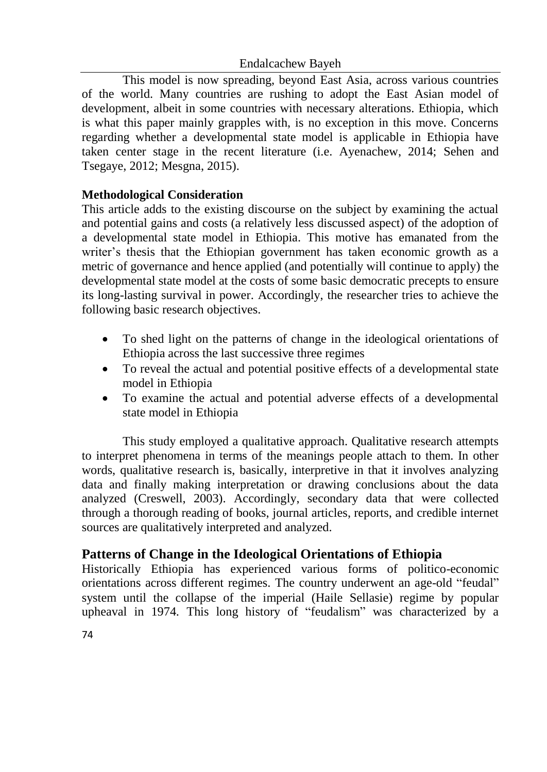This model is now spreading, beyond East Asia, across various countries of the world. Many countries are rushing to adopt the East Asian model of development, albeit in some countries with necessary alterations. Ethiopia, which is what this paper mainly grapples with, is no exception in this move. Concerns regarding whether a developmental state model is applicable in Ethiopia have taken center stage in the recent literature (i.e. Ayenachew, 2014; Sehen and Tsegaye, 2012; Mesgna, 2015).

## **Methodological Consideration**

This article adds to the existing discourse on the subject by examining the actual and potential gains and costs (a relatively less discussed aspect) of the adoption of a developmental state model in Ethiopia. This motive has emanated from the writer's thesis that the Ethiopian government has taken economic growth as a metric of governance and hence applied (and potentially will continue to apply) the developmental state model at the costs of some basic democratic precepts to ensure its long-lasting survival in power. Accordingly, the researcher tries to achieve the following basic research objectives.

- To shed light on the patterns of change in the ideological orientations of Ethiopia across the last successive three regimes
- To reveal the actual and potential positive effects of a developmental state model in Ethiopia
- To examine the actual and potential adverse effects of a developmental state model in Ethiopia

This study employed a qualitative approach. Qualitative research attempts to interpret phenomena in terms of the meanings people attach to them. In other words, qualitative research is, basically, interpretive in that it involves analyzing data and finally making interpretation or drawing conclusions about the data analyzed (Creswell, 2003). Accordingly, secondary data that were collected through a thorough reading of books, journal articles, reports, and credible internet sources are qualitatively interpreted and analyzed.

## **Patterns of Change in the Ideological Orientations of Ethiopia**

Historically Ethiopia has experienced various forms of politico-economic orientations across different regimes. The country underwent an age-old "feudal" system until the collapse of the imperial (Haile Sellasie) regime by popular upheaval in 1974. This long history of "feudalism" was characterized by a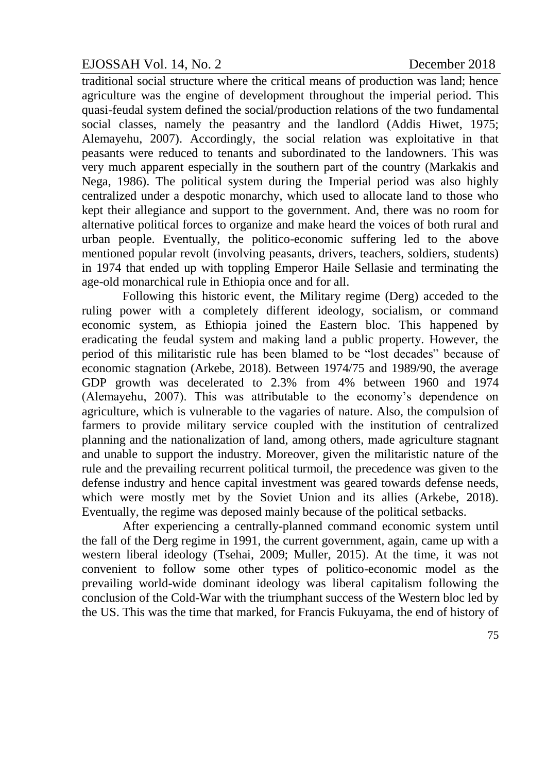traditional social structure where the critical means of production was land; hence agriculture was the engine of development throughout the imperial period. This quasi-feudal system defined the social/production relations of the two fundamental social classes, namely the peasantry and the landlord (Addis Hiwet, 1975; Alemayehu, 2007). Accordingly, the social relation was exploitative in that peasants were reduced to tenants and subordinated to the landowners. This was very much apparent especially in the southern part of the country (Markakis and Nega, 1986). The political system during the Imperial period was also highly centralized under a despotic monarchy, which used to allocate land to those who kept their allegiance and support to the government. And, there was no room for alternative political forces to organize and make heard the voices of both rural and urban people. Eventually, the politico-economic suffering led to the above mentioned popular revolt (involving peasants, drivers, teachers, soldiers, students) in 1974 that ended up with toppling Emperor Haile Sellasie and terminating the age-old monarchical rule in Ethiopia once and for all.

Following this historic event, the Military regime (Derg) acceded to the ruling power with a completely different ideology, socialism, or command economic system, as Ethiopia joined the Eastern bloc. This happened by eradicating the feudal system and making land a public property. However, the period of this militaristic rule has been blamed to be "lost decades" because of economic stagnation (Arkebe, 2018). Between 1974/75 and 1989/90, the average GDP growth was decelerated to 2.3% from 4% between 1960 and 1974 (Alemayehu, 2007). This was attributable to the economy's dependence on agriculture, which is vulnerable to the vagaries of nature. Also, the compulsion of farmers to provide military service coupled with the institution of centralized planning and the nationalization of land, among others, made agriculture stagnant and unable to support the industry. Moreover, given the militaristic nature of the rule and the prevailing recurrent political turmoil, the precedence was given to the defense industry and hence capital investment was geared towards defense needs, which were mostly met by the Soviet Union and its allies (Arkebe, 2018). Eventually, the regime was deposed mainly because of the political setbacks.

After experiencing a centrally-planned command economic system until the fall of the Derg regime in 1991, the current government, again, came up with a western liberal ideology (Tsehai, 2009; Muller, 2015). At the time, it was not convenient to follow some other types of politico-economic model as the prevailing world-wide dominant ideology was liberal capitalism following the conclusion of the Cold-War with the triumphant success of the Western bloc led by the US. This was the time that marked, for Francis Fukuyama, the end of history of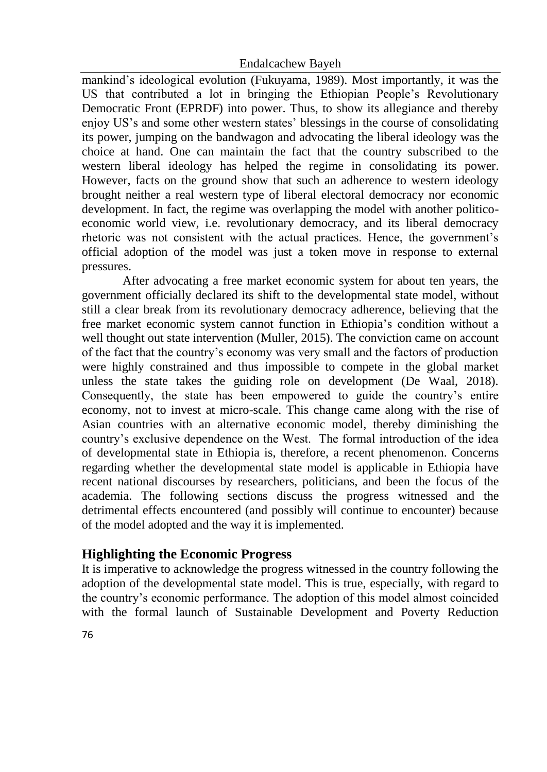mankind's ideological evolution (Fukuyama, 1989). Most importantly, it was the US that contributed a lot in bringing the Ethiopian People's Revolutionary Democratic Front (EPRDF) into power. Thus, to show its allegiance and thereby enjoy US's and some other western states' blessings in the course of consolidating its power, jumping on the bandwagon and advocating the liberal ideology was the choice at hand. One can maintain the fact that the country subscribed to the western liberal ideology has helped the regime in consolidating its power. However, facts on the ground show that such an adherence to western ideology brought neither a real western type of liberal electoral democracy nor economic development. In fact, the regime was overlapping the model with another politicoeconomic world view, i.e. revolutionary democracy, and its liberal democracy rhetoric was not consistent with the actual practices. Hence, the government's official adoption of the model was just a token move in response to external pressures.

After advocating a free market economic system for about ten years, the government officially declared its shift to the developmental state model, without still a clear break from its revolutionary democracy adherence, believing that the free market economic system cannot function in Ethiopia's condition without a well thought out state intervention (Muller, 2015). The conviction came on account of the fact that the country's economy was very small and the factors of production were highly constrained and thus impossible to compete in the global market unless the state takes the guiding role on development (De Waal, 2018). Consequently, the state has been empowered to guide the country's entire economy, not to invest at micro-scale. This change came along with the rise of Asian countries with an alternative economic model, thereby diminishing the country's exclusive dependence on the West. The formal introduction of the idea of developmental state in Ethiopia is, therefore, a recent phenomenon. Concerns regarding whether the developmental state model is applicable in Ethiopia have recent national discourses by researchers, politicians, and been the focus of the academia. The following sections discuss the progress witnessed and the detrimental effects encountered (and possibly will continue to encounter) because of the model adopted and the way it is implemented.

## **Highlighting the Economic Progress**

It is imperative to acknowledge the progress witnessed in the country following the adoption of the developmental state model. This is true, especially, with regard to the country's economic performance. The adoption of this model almost coincided with the formal launch of Sustainable Development and Poverty Reduction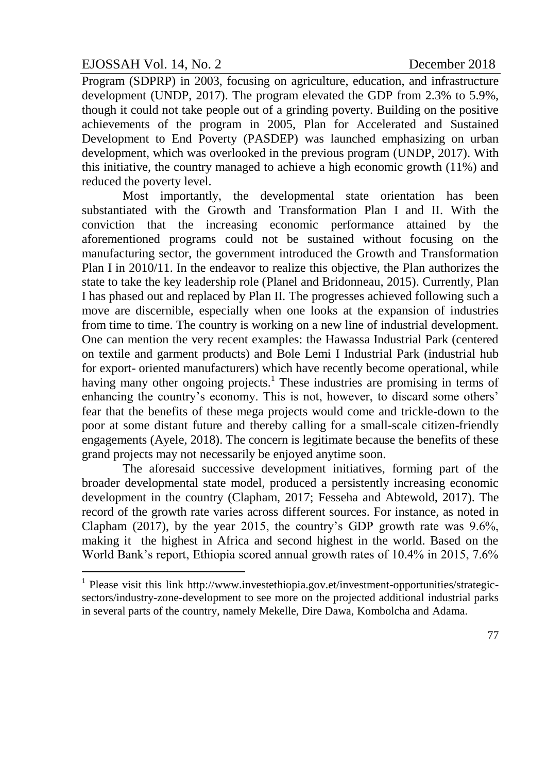$\overline{a}$ 

Program (SDPRP) in 2003, focusing on agriculture, education, and infrastructure development (UNDP, 2017). The program elevated the GDP from 2.3% to 5.9%, though it could not take people out of a grinding poverty. Building on the positive achievements of the program in 2005, Plan for Accelerated and Sustained Development to End Poverty (PASDEP) was launched emphasizing on urban development, which was overlooked in the previous program (UNDP, 2017). With this initiative, the country managed to achieve a high economic growth (11%) and reduced the poverty level.

Most importantly, the developmental state orientation has been substantiated with the Growth and Transformation Plan I and II. With the conviction that the increasing economic performance attained by the aforementioned programs could not be sustained without focusing on the manufacturing sector, the government introduced the Growth and Transformation Plan I in 2010/11. In the endeavor to realize this objective, the Plan authorizes the state to take the key leadership role (Planel and Bridonneau, 2015). Currently, Plan I has phased out and replaced by Plan II. The progresses achieved following such a move are discernible, especially when one looks at the expansion of industries from time to time. The country is working on a new line of industrial development. One can mention the very recent examples: the Hawassa Industrial Park (centered on textile and garment products) and Bole Lemi I Industrial Park (industrial hub for export- oriented manufacturers) which have recently become operational, while having many other ongoing projects.<sup>1</sup> These industries are promising in terms of enhancing the country's economy. This is not, however, to discard some others' fear that the benefits of these mega projects would come and trickle-down to the poor at some distant future and thereby calling for a small-scale citizen-friendly engagements (Ayele, 2018). The concern is legitimate because the benefits of these grand projects may not necessarily be enjoyed anytime soon.

The aforesaid successive development initiatives, forming part of the broader developmental state model, produced a persistently increasing economic development in the country (Clapham, 2017; Fesseha and Abtewold, 2017). The record of the growth rate varies across different sources. For instance, as noted in Clapham (2017), by the year 2015, the country's GDP growth rate was 9.6%, making it the highest in Africa and second highest in the world. Based on the World Bank's report, Ethiopia scored annual growth rates of 10.4% in 2015, 7.6%

<sup>&</sup>lt;sup>1</sup> Please visit this link http://www.investethiopia.gov.et/investment-opportunities/strategicsectors/industry-zone-development to see more on the projected additional industrial parks in several parts of the country, namely Mekelle, Dire Dawa, Kombolcha and Adama.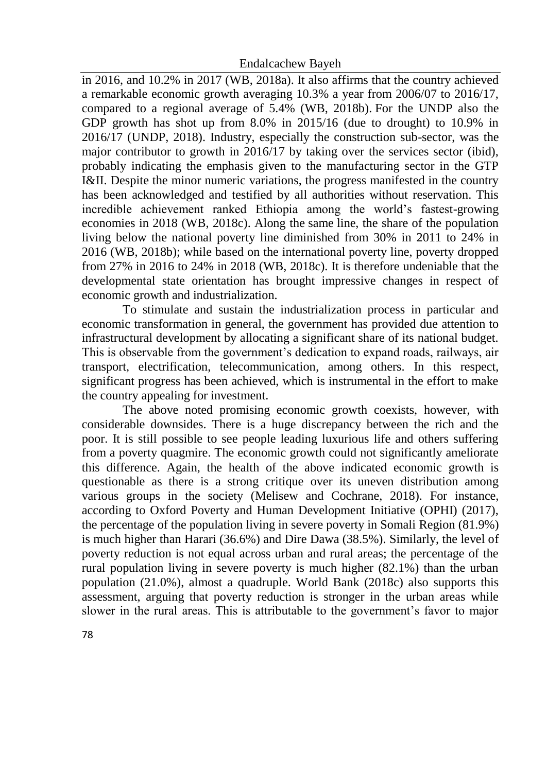in 2016, and 10.2% in 2017 (WB, 2018a). It also affirms that the country achieved a remarkable economic growth averaging 10.3% a year from 2006/07 to 2016/17, compared to a regional average of 5.4% (WB, 2018b). For the UNDP also the GDP growth has shot up from 8.0% in 2015/16 (due to drought) to 10.9% in 2016/17 (UNDP, 2018). Industry, especially the construction sub-sector, was the major contributor to growth in 2016/17 by taking over the services sector (ibid), probably indicating the emphasis given to the manufacturing sector in the GTP I&II. Despite the minor numeric variations, the progress manifested in the country has been acknowledged and testified by all authorities without reservation. This incredible achievement ranked Ethiopia among the world's fastest-growing economies in 2018 (WB, 2018c). Along the same line, the share of the population living below the national poverty line diminished from 30% in 2011 to 24% in 2016 (WB, 2018b); while based on the international poverty line, poverty dropped from 27% in 2016 to 24% in 2018 (WB, 2018c). It is therefore undeniable that the developmental state orientation has brought impressive changes in respect of economic growth and industrialization.

To stimulate and sustain the industrialization process in particular and economic transformation in general, the government has provided due attention to infrastructural development by allocating a significant share of its national budget. This is observable from the government's dedication to expand roads, railways, air transport, electrification, telecommunication, among others. In this respect, significant progress has been achieved, which is instrumental in the effort to make the country appealing for investment.

The above noted promising economic growth coexists, however, with considerable downsides. There is a huge discrepancy between the rich and the poor. It is still possible to see people leading luxurious life and others suffering from a poverty quagmire. The economic growth could not significantly ameliorate this difference. Again, the health of the above indicated economic growth is questionable as there is a strong critique over its uneven distribution among various groups in the society (Melisew and Cochrane, 2018). For instance, according to Oxford Poverty and Human Development Initiative (OPHI) (2017), the percentage of the population living in severe poverty in Somali Region (81.9%) is much higher than Harari (36.6%) and Dire Dawa (38.5%). Similarly, the level of poverty reduction is not equal across urban and rural areas; the percentage of the rural population living in severe poverty is much higher (82.1%) than the urban population (21.0%), almost a quadruple. World Bank (2018c) also supports this assessment, arguing that poverty reduction is stronger in the urban areas while slower in the rural areas. This is attributable to the government's favor to major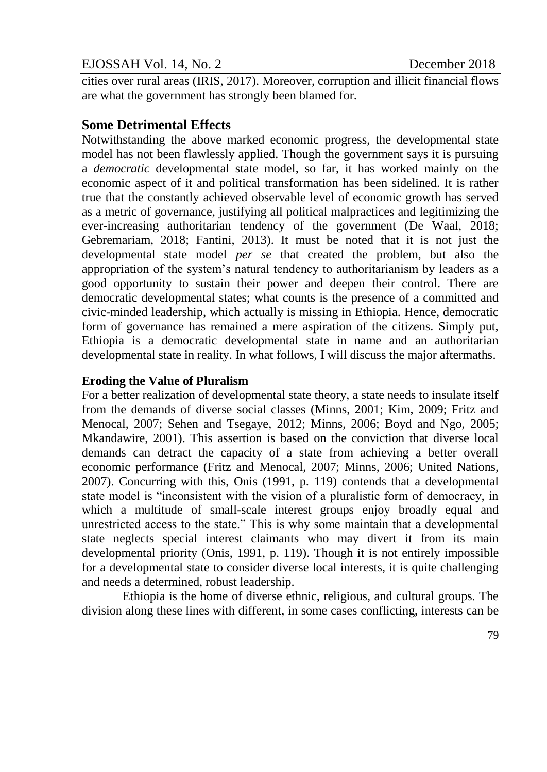cities over rural areas (IRIS, 2017). Moreover, corruption and illicit financial flows are what the government has strongly been blamed for.

# **Some Detrimental Effects**

Notwithstanding the above marked economic progress, the developmental state model has not been flawlessly applied. Though the government says it is pursuing a *democratic* developmental state model, so far, it has worked mainly on the economic aspect of it and political transformation has been sidelined. It is rather true that the constantly achieved observable level of economic growth has served as a metric of governance, justifying all political malpractices and legitimizing the ever-increasing authoritarian tendency of the government (De Waal, 2018; Gebremariam, 2018; Fantini, 2013). It must be noted that it is not just the developmental state model *per se* that created the problem, but also the appropriation of the system's natural tendency to authoritarianism by leaders as a good opportunity to sustain their power and deepen their control. There are democratic developmental states; what counts is the presence of a committed and civic-minded leadership, which actually is missing in Ethiopia. Hence, democratic form of governance has remained a mere aspiration of the citizens. Simply put, Ethiopia is a democratic developmental state in name and an authoritarian developmental state in reality. In what follows, I will discuss the major aftermaths.

## **Eroding the Value of Pluralism**

For a better realization of developmental state theory, a state needs to insulate itself from the demands of diverse social classes (Minns, 2001; Kim, 2009; Fritz and Menocal, 2007; Sehen and Tsegaye, 2012; Minns, 2006; Boyd and Ngo, 2005; Mkandawire, 2001). This assertion is based on the conviction that diverse local demands can detract the capacity of a state from achieving a better overall economic performance (Fritz and Menocal, 2007; Minns, 2006; United Nations, 2007). Concurring with this, Onis (1991, p. 119) contends that a developmental state model is "inconsistent with the vision of a pluralistic form of democracy, in which a multitude of small-scale interest groups enjoy broadly equal and unrestricted access to the state." This is why some maintain that a developmental state neglects special interest claimants who may divert it from its main developmental priority (Onis, 1991, p. 119). Though it is not entirely impossible for a developmental state to consider diverse local interests, it is quite challenging and needs a determined, robust leadership.

Ethiopia is the home of diverse ethnic, religious, and cultural groups. The division along these lines with different, in some cases conflicting, interests can be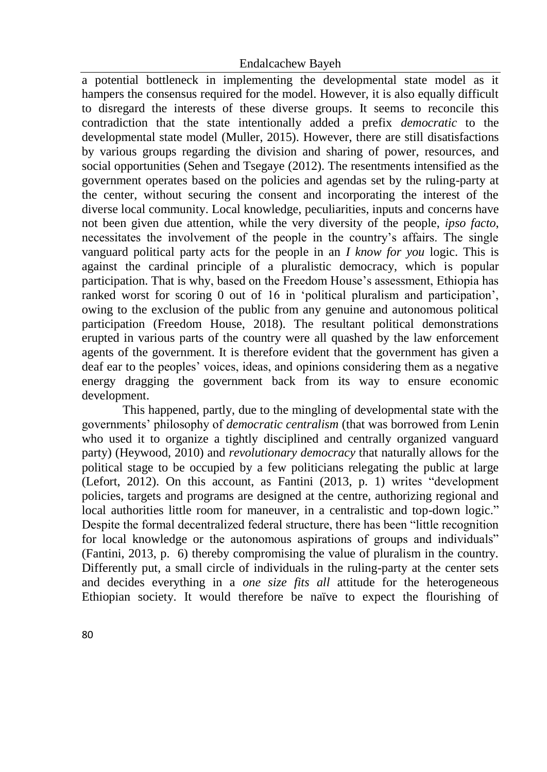a potential bottleneck in implementing the developmental state model as it hampers the consensus required for the model. However, it is also equally difficult to disregard the interests of these diverse groups. It seems to reconcile this contradiction that the state intentionally added a prefix *democratic* to the developmental state model (Muller, 2015). However, there are still disatisfactions by various groups regarding the division and sharing of power, resources, and social opportunities (Sehen and Tsegaye (2012). The resentments intensified as the government operates based on the policies and agendas set by the ruling-party at the center, without securing the consent and incorporating the interest of the diverse local community. Local knowledge, peculiarities, inputs and concerns have not been given due attention, while the very diversity of the people, *ipso facto*, necessitates the involvement of the people in the country's affairs. The single vanguard political party acts for the people in an *I know for you* logic. This is against the cardinal principle of a pluralistic democracy, which is popular participation. That is why, based on the Freedom House's assessment, Ethiopia has ranked worst for scoring 0 out of 16 in 'political pluralism and participation', owing to the exclusion of the public from any genuine and autonomous political participation (Freedom House, 2018). The resultant political demonstrations erupted in various parts of the country were all quashed by the law enforcement agents of the government. It is therefore evident that the government has given a deaf ear to the peoples' voices, ideas, and opinions considering them as a negative energy dragging the government back from its way to ensure economic development.

This happened, partly, due to the mingling of developmental state with the governments' philosophy of *democratic centralism* (that was borrowed from Lenin who used it to organize a tightly disciplined and centrally organized vanguard party) (Heywood, 2010) and *revolutionary democracy* that naturally allows for the political stage to be occupied by a few politicians relegating the public at large (Lefort, 2012). On this account, as Fantini  $(2013, p. 1)$  writes "development" policies, targets and programs are designed at the centre, authorizing regional and local authorities little room for maneuver, in a centralistic and top-down logic." Despite the formal decentralized federal structure, there has been "little recognition for local knowledge or the autonomous aspirations of groups and individuals" (Fantini, 2013, p. 6) thereby compromising the value of pluralism in the country. Differently put, a small circle of individuals in the ruling-party at the center sets and decides everything in a *one size fits all* attitude for the heterogeneous Ethiopian society. It would therefore be naïve to expect the flourishing of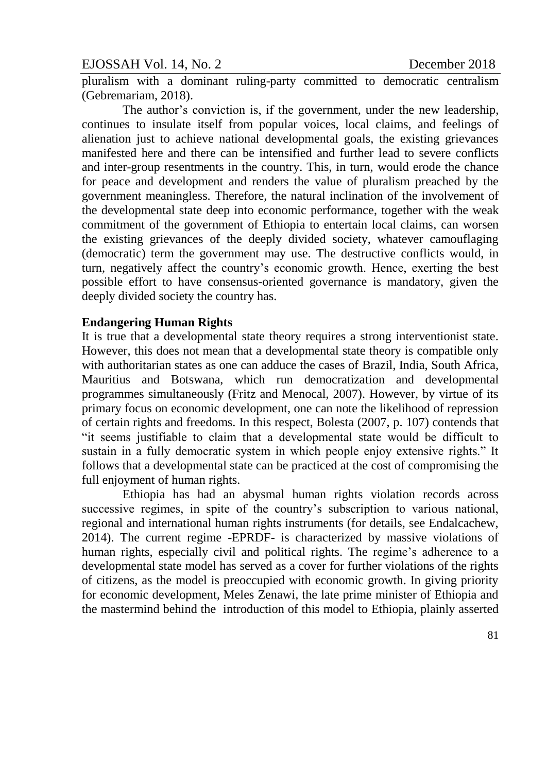pluralism with a dominant ruling-party committed to democratic centralism (Gebremariam, 2018).

The author's conviction is, if the government, under the new leadership, continues to insulate itself from popular voices, local claims, and feelings of alienation just to achieve national developmental goals, the existing grievances manifested here and there can be intensified and further lead to severe conflicts and inter-group resentments in the country. This, in turn, would erode the chance for peace and development and renders the value of pluralism preached by the government meaningless. Therefore, the natural inclination of the involvement of the developmental state deep into economic performance, together with the weak commitment of the government of Ethiopia to entertain local claims, can worsen the existing grievances of the deeply divided society, whatever camouflaging (democratic) term the government may use. The destructive conflicts would, in turn, negatively affect the country's economic growth. Hence, exerting the best possible effort to have consensus-oriented governance is mandatory, given the deeply divided society the country has.

#### **Endangering Human Rights**

It is true that a developmental state theory requires a strong interventionist state. However, this does not mean that a developmental state theory is compatible only with authoritarian states as one can adduce the cases of Brazil, India, South Africa, Mauritius and Botswana, which run democratization and developmental programmes simultaneously (Fritz and Menocal, 2007). However, by virtue of its primary focus on economic development, one can note the likelihood of repression of certain rights and freedoms. In this respect, Bolesta (2007, p. 107) contends that ―it seems justifiable to claim that a developmental state would be difficult to sustain in a fully democratic system in which people enjoy extensive rights." It follows that a developmental state can be practiced at the cost of compromising the full enjoyment of human rights.

Ethiopia has had an abysmal human rights violation records across successive regimes, in spite of the country's subscription to various national, regional and international human rights instruments (for details, see Endalcachew, 2014). The current regime -EPRDF- is characterized by massive violations of human rights, especially civil and political rights. The regime's adherence to a developmental state model has served as a cover for further violations of the rights of citizens, as the model is preoccupied with economic growth. In giving priority for economic development, Meles Zenawi, the late prime minister of Ethiopia and the mastermind behind the introduction of this model to Ethiopia, plainly asserted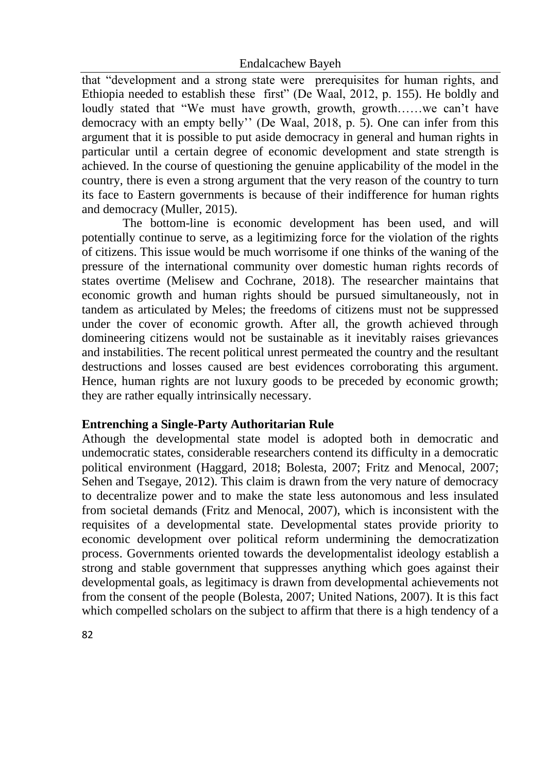that "development and a strong state were prerequisites for human rights, and Ethiopia needed to establish these first" (De Waal,  $2012$ , p. 155). He boldly and loudly stated that "We must have growth, growth, growth……we can't have democracy with an empty belly'' (De Waal, 2018, p. 5). One can infer from this argument that it is possible to put aside democracy in general and human rights in particular until a certain degree of economic development and state strength is achieved. In the course of questioning the genuine applicability of the model in the country, there is even a strong argument that the very reason of the country to turn its face to Eastern governments is because of their indifference for human rights and democracy (Muller, 2015).

The bottom-line is economic development has been used, and will potentially continue to serve, as a legitimizing force for the violation of the rights of citizens. This issue would be much worrisome if one thinks of the waning of the pressure of the international community over domestic human rights records of states overtime (Melisew and Cochrane, 2018). The researcher maintains that economic growth and human rights should be pursued simultaneously, not in tandem as articulated by Meles; the freedoms of citizens must not be suppressed under the cover of economic growth. After all, the growth achieved through domineering citizens would not be sustainable as it inevitably raises grievances and instabilities. The recent political unrest permeated the country and the resultant destructions and losses caused are best evidences corroborating this argument. Hence, human rights are not luxury goods to be preceded by economic growth; they are rather equally intrinsically necessary.

#### **Entrenching a Single-Party Authoritarian Rule**

Athough the developmental state model is adopted both in democratic and undemocratic states, considerable researchers contend its difficulty in a democratic political environment (Haggard, 2018; Bolesta, 2007; Fritz and Menocal, 2007; Sehen and Tsegaye, 2012). This claim is drawn from the very nature of democracy to decentralize power and to make the state less autonomous and less insulated from societal demands (Fritz and Menocal, 2007), which is inconsistent with the requisites of a developmental state. Developmental states provide priority to economic development over political reform undermining the democratization process. Governments oriented towards the developmentalist ideology establish a strong and stable government that suppresses anything which goes against their developmental goals, as legitimacy is drawn from developmental achievements not from the consent of the people (Bolesta, 2007; United Nations, 2007). It is this fact which compelled scholars on the subject to affirm that there is a high tendency of a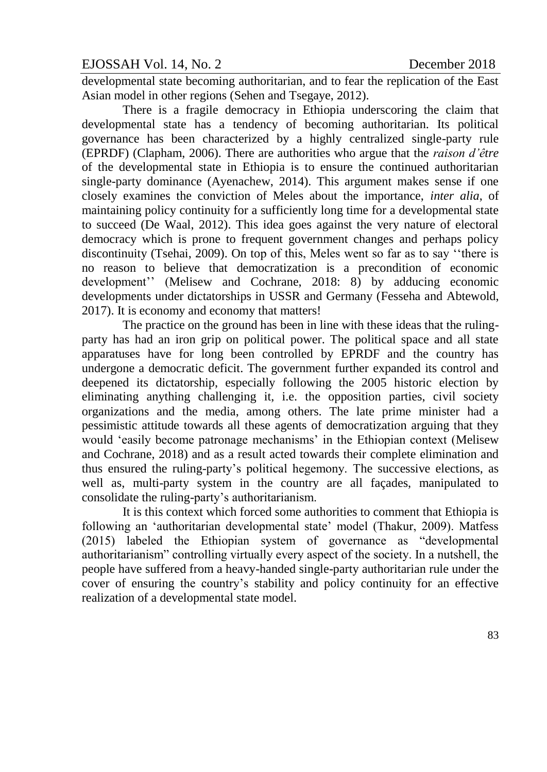developmental state becoming authoritarian, and to fear the replication of the East Asian model in other regions (Sehen and Tsegaye, 2012).

There is a fragile democracy in Ethiopia underscoring the claim that developmental state has a tendency of becoming authoritarian. Its political governance has been characterized by a highly centralized single-party rule (EPRDF) (Clapham, 2006). There are authorities who argue that the *raison d'être*  of the developmental state in Ethiopia is to ensure the continued authoritarian single-party dominance (Ayenachew, 2014). This argument makes sense if one closely examines the conviction of Meles about the importance, *inter alia*, of maintaining policy continuity for a sufficiently long time for a developmental state to succeed (De Waal, 2012). This idea goes against the very nature of electoral democracy which is prone to frequent government changes and perhaps policy discontinuity (Tsehai, 2009). On top of this, Meles went so far as to say "there is no reason to believe that democratization is a precondition of economic development'' (Melisew and Cochrane, 2018: 8) by adducing economic developments under dictatorships in USSR and Germany (Fesseha and Abtewold, 2017). It is economy and economy that matters!

The practice on the ground has been in line with these ideas that the rulingparty has had an iron grip on political power. The political space and all state apparatuses have for long been controlled by EPRDF and the country has undergone a democratic deficit. The government further expanded its control and deepened its dictatorship, especially following the 2005 historic election by eliminating anything challenging it, i.e. the opposition parties, civil society organizations and the media, among others. The late prime minister had a pessimistic attitude towards all these agents of democratization arguing that they would ‗easily become patronage mechanisms' in the Ethiopian context (Melisew and Cochrane, 2018) and as a result acted towards their complete elimination and thus ensured the ruling-party's political hegemony. The successive elections, as well as, multi-party system in the country are all façades, manipulated to consolidate the ruling-party's authoritarianism.

It is this context which forced some authorities to comment that Ethiopia is following an 'authoritarian developmental state' model (Thakur, 2009). Matfess  $(2015)$  labeled the Ethiopian system of governance as "developmental authoritarianism" controlling virtually every aspect of the society. In a nutshell, the people have suffered from a heavy-handed single-party authoritarian rule under the cover of ensuring the country's stability and policy continuity for an effective realization of a developmental state model.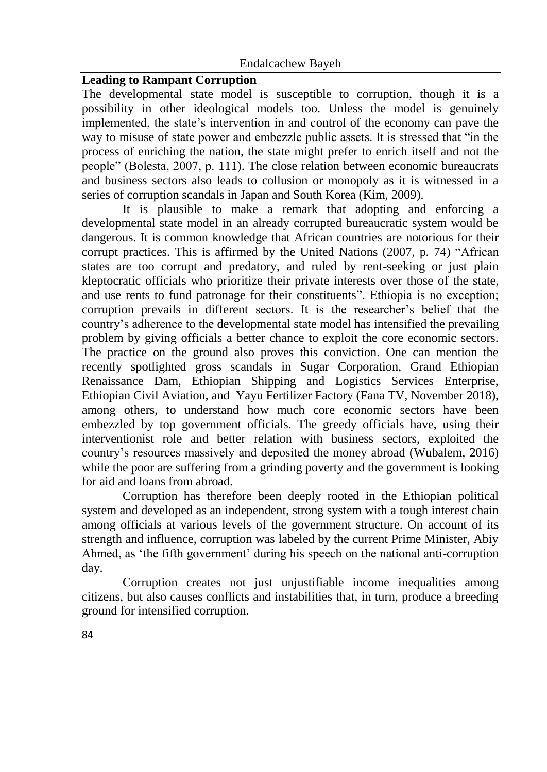## **Leading to Rampant Corruption**

The developmental state model is susceptible to corruption, though it is a possibility in other ideological models too. Unless the model is genuinely implemented, the state's intervention in and control of the economy can pave the way to misuse of state power and embezzle public assets. It is stressed that "in the process of enriching the nation, the state might prefer to enrich itself and not the people‖ (Bolesta, 2007, p. 111). The close relation between economic bureaucrats and business sectors also leads to collusion or monopoly as it is witnessed in a series of corruption scandals in Japan and South Korea (Kim, 2009).

It is plausible to make a remark that adopting and enforcing a developmental state model in an already corrupted bureaucratic system would be dangerous. It is common knowledge that African countries are notorious for their corrupt practices. This is affirmed by the United Nations  $(2007, p. 74)$  "African states are too corrupt and predatory, and ruled by rent-seeking or just plain kleptocratic officials who prioritize their private interests over those of the state, and use rents to fund patronage for their constituents". Ethiopia is no exception; corruption prevails in different sectors. It is the researcher's belief that the country's adherence to the developmental state model has intensified the prevailing problem by giving officials a better chance to exploit the core economic sectors. The practice on the ground also proves this conviction. One can mention the recently spotlighted gross scandals in Sugar Corporation, Grand Ethiopian Renaissance Dam, Ethiopian Shipping and Logistics Services Enterprise, Ethiopian Civil Aviation, and Yayu Fertilizer Factory (Fana TV, November 2018), among others, to understand how much core economic sectors have been embezzled by top government officials. The greedy officials have, using their interventionist role and better relation with business sectors, exploited the country's resources massively and deposited the money abroad (Wubalem, 2016) while the poor are suffering from a grinding poverty and the government is looking for aid and loans from abroad.

Corruption has therefore been deeply rooted in the Ethiopian political system and developed as an independent, strong system with a tough interest chain among officials at various levels of the government structure. On account of its strength and influence, corruption was labeled by the current Prime Minister, Abiy Ahmed, as 'the fifth government' during his speech on the national anti-corruption day.

Corruption creates not just unjustifiable income inequalities among citizens, but also causes conflicts and instabilities that, in turn, produce a breeding ground for intensified corruption.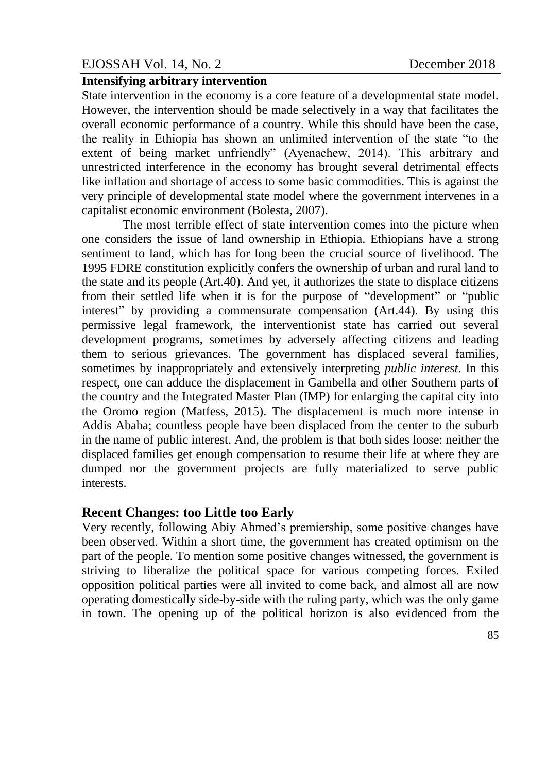#### **Intensifying arbitrary intervention**

State intervention in the economy is a core feature of a developmental state model. However, the intervention should be made selectively in a way that facilitates the overall economic performance of a country. While this should have been the case, the reality in Ethiopia has shown an unlimited intervention of the state "to the extent of being market unfriendly" (Ayenachew, 2014). This arbitrary and unrestricted interference in the economy has brought several detrimental effects like inflation and shortage of access to some basic commodities. This is against the very principle of developmental state model where the government intervenes in a capitalist economic environment (Bolesta, 2007).

The most terrible effect of state intervention comes into the picture when one considers the issue of land ownership in Ethiopia. Ethiopians have a strong sentiment to land, which has for long been the crucial source of livelihood. The 1995 FDRE constitution explicitly confers the ownership of urban and rural land to the state and its people (Art.40). And yet, it authorizes the state to displace citizens from their settled life when it is for the purpose of "development" or "public interest" by providing a commensurate compensation (Art.44). By using this permissive legal framework, the interventionist state has carried out several development programs, sometimes by adversely affecting citizens and leading them to serious grievances. The government has displaced several families, sometimes by inappropriately and extensively interpreting *public interest*. In this respect, one can adduce the displacement in Gambella and other Southern parts of the country and the Integrated Master Plan (IMP) for enlarging the capital city into the Oromo region (Matfess, 2015). The displacement is much more intense in Addis Ababa; countless people have been displaced from the center to the suburb in the name of public interest. And, the problem is that both sides loose: neither the displaced families get enough compensation to resume their life at where they are dumped nor the government projects are fully materialized to serve public interests.

#### **Recent Changes: too Little too Early**

Very recently, following Abiy Ahmed's premiership, some positive changes have been observed. Within a short time, the government has created optimism on the part of the people. To mention some positive changes witnessed, the government is striving to liberalize the political space for various competing forces. Exiled opposition political parties were all invited to come back, and almost all are now operating domestically side-by-side with the ruling party, which was the only game in town. The opening up of the political horizon is also evidenced from the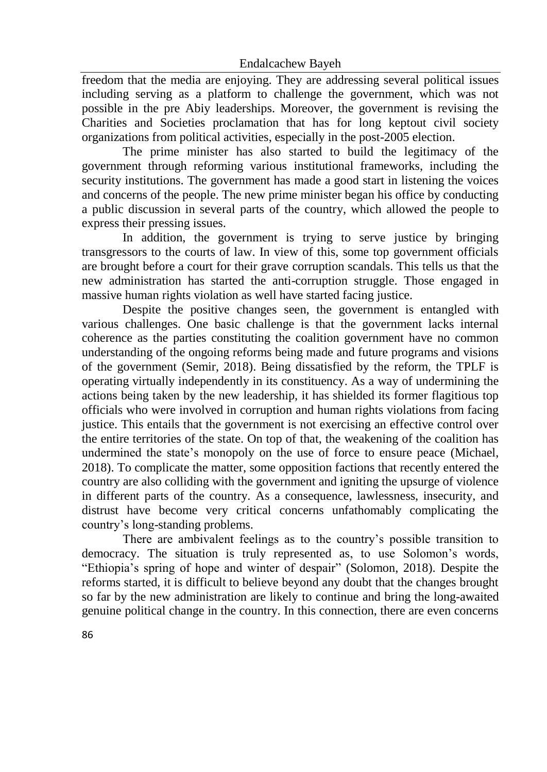freedom that the media are enjoying. They are addressing several political issues including serving as a platform to challenge the government, which was not possible in the pre Abiy leaderships. Moreover, the government is revising the Charities and Societies proclamation that has for long keptout civil society organizations from political activities, especially in the post-2005 election.

The prime minister has also started to build the legitimacy of the government through reforming various institutional frameworks, including the security institutions. The government has made a good start in listening the voices and concerns of the people. The new prime minister began his office by conducting a public discussion in several parts of the country, which allowed the people to express their pressing issues.

In addition, the government is trying to serve justice by bringing transgressors to the courts of law. In view of this, some top government officials are brought before a court for their grave corruption scandals. This tells us that the new administration has started the anti-corruption struggle. Those engaged in massive human rights violation as well have started facing justice.

Despite the positive changes seen, the government is entangled with various challenges. One basic challenge is that the government lacks internal coherence as the parties constituting the coalition government have no common understanding of the ongoing reforms being made and future programs and visions of the government (Semir, 2018). Being dissatisfied by the reform, the TPLF is operating virtually independently in its constituency. As a way of undermining the actions being taken by the new leadership, it has shielded its former flagitious top officials who were involved in corruption and human rights violations from facing justice. This entails that the government is not exercising an effective control over the entire territories of the state. On top of that, the weakening of the coalition has undermined the state's monopoly on the use of force to ensure peace (Michael, 2018). To complicate the matter, some opposition factions that recently entered the country are also colliding with the government and igniting the upsurge of violence in different parts of the country. As a consequence, lawlessness, insecurity, and distrust have become very critical concerns unfathomably complicating the country's long-standing problems.

There are ambivalent feelings as to the country's possible transition to democracy. The situation is truly represented as, to use Solomon's words, ―Ethiopia's spring of hope and winter of despair‖ (Solomon, 2018). Despite the reforms started, it is difficult to believe beyond any doubt that the changes brought so far by the new administration are likely to continue and bring the long-awaited genuine political change in the country. In this connection, there are even concerns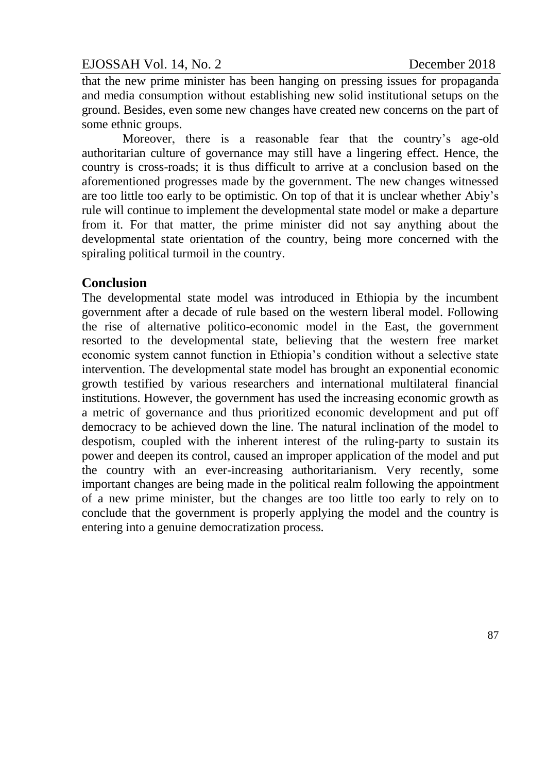that the new prime minister has been hanging on pressing issues for propaganda and media consumption without establishing new solid institutional setups on the ground. Besides, even some new changes have created new concerns on the part of some ethnic groups.

Moreover, there is a reasonable fear that the country's age-old authoritarian culture of governance may still have a lingering effect. Hence, the country is cross-roads; it is thus difficult to arrive at a conclusion based on the aforementioned progresses made by the government. The new changes witnessed are too little too early to be optimistic. On top of that it is unclear whether Abiy's rule will continue to implement the developmental state model or make a departure from it. For that matter, the prime minister did not say anything about the developmental state orientation of the country, being more concerned with the spiraling political turmoil in the country.

## **Conclusion**

The developmental state model was introduced in Ethiopia by the incumbent government after a decade of rule based on the western liberal model. Following the rise of alternative politico-economic model in the East, the government resorted to the developmental state, believing that the western free market economic system cannot function in Ethiopia's condition without a selective state intervention. The developmental state model has brought an exponential economic growth testified by various researchers and international multilateral financial institutions. However, the government has used the increasing economic growth as a metric of governance and thus prioritized economic development and put off democracy to be achieved down the line. The natural inclination of the model to despotism, coupled with the inherent interest of the ruling-party to sustain its power and deepen its control, caused an improper application of the model and put the country with an ever-increasing authoritarianism. Very recently, some important changes are being made in the political realm following the appointment of a new prime minister, but the changes are too little too early to rely on to conclude that the government is properly applying the model and the country is entering into a genuine democratization process.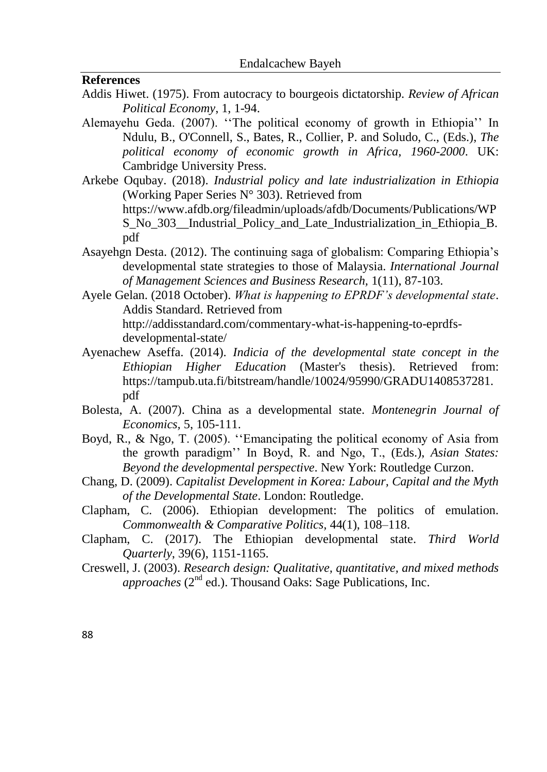#### **References**

- Addis Hiwet. (1975). From autocracy to bourgeois dictatorship. *Review of African Political Economy*, 1, 1-94.
- Alemayehu Geda. (2007). "The political economy of growth in Ethiopia" In Ndulu, B., O'Connell, S., Bates, R., Collier, P. and Soludo, C., (Eds.), *The political economy of economic growth in Africa, 1960-2000*. UK: Cambridge University Press.
- Arkebe Oqubay. (2018). *Industrial policy and late industrialization in Ethiopia* (Working Paper Series N° 303). Retrieved from [https://www.afdb.org/fileadmin/uploads/afdb/Documents/Publications/WP](https://www.afdb.org/fileadmin/uploads/afdb/Documents/Publications/WPS_No_303__Industrial_Policy_and_Late_Industrialization_in_Ethiopia_B.pdf) S No 303 Industrial Policy and Late Industrialization in Ethiopia B. [pdf](https://www.afdb.org/fileadmin/uploads/afdb/Documents/Publications/WPS_No_303__Industrial_Policy_and_Late_Industrialization_in_Ethiopia_B.pdf)
- Asayehgn Desta. (2012). The continuing saga of globalism: Comparing Ethiopia's developmental state strategies to those of Malaysia. *International Journal of Management Sciences and Business Research,* 1(11), 87-103.
- Ayele Gelan. (2018 October). *What is happening to EPRDF's developmental state*. Addis Standard. Retrieved from [http://addisstandard.com/commentary-what-is-happening-to-eprdfs-](http://addisstandard.com/commentary-what-is-happening-to-eprdfs-developmental-state/)

[developmental-state/](http://addisstandard.com/commentary-what-is-happening-to-eprdfs-developmental-state/)

- Ayenachew Aseffa. (2014). *Indicia of the developmental state concept in the Ethiopian Higher Education* (Master's thesis). Retrieved from: [https://tampub.uta.fi/bitstream/handle/10024/95990/GRADU1408537281.](https://tampub.uta.fi/bitstream/handle/10024/95990/GRADU1408537281.pdf) [pdf](https://tampub.uta.fi/bitstream/handle/10024/95990/GRADU1408537281.pdf)
- Bolesta, A. (2007). China as a developmental state. *Montenegrin Journal of Economics,* 5, 105-111.
- Boyd, R., & Ngo, T. (2005). "Emancipating the political economy of Asia from the growth paradigm'' In Boyd, R. and Ngo, T., (Eds.), *Asian States: Beyond the developmental perspective*. New York: Routledge Curzon.
- Chang, D. (2009). *Capitalist Development in Korea: Labour, Capital and the Myth of the Developmental State*. London: Routledge.
- Clapham, C. (2006). Ethiopian development: The politics of emulation. *Commonwealth & Comparative Politics,* 44(1), 108–118.
- Clapham, C. (2017). The Ethiopian developmental state. *Third World Quarterly*, 39(6), 1151-1165.
- Creswell, J. (2003). *Research design: Qualitative, quantitative, and mixed methods approaches* (2<sup>nd</sup> ed.). Thousand Oaks: Sage Publications, Inc.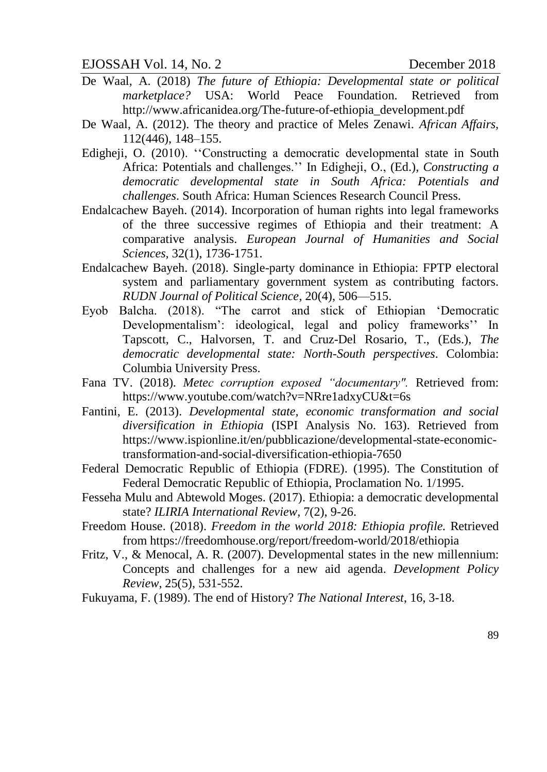- De Waal, A. (2018) *The future of Ethiopia: Developmental state or political marketplace?* USA: World Peace Foundation. Retrieved from [http://www.africanidea.org/The-future-of-ethiopia\\_development.pdf](http://www.africanidea.org/The-future-of-ethiopia_development.pdf)
- De Waal, A. (2012). The theory and practice of Meles Zenawi. *African Affairs,*  112(446), 148–155.
- Edigheji, O. (2010). "Constructing a democratic developmental state in South Africa: Potentials and challenges.'' In Edigheji, O., (Ed.), *Constructing a democratic developmental state in South Africa: Potentials and challenges*. South Africa: Human Sciences Research Council Press.
- Endalcachew Bayeh. (2014). Incorporation of human rights into legal frameworks of the three successive regimes of Ethiopia and their treatment: A comparative analysis. *European Journal of Humanities and Social Sciences,* 32(1), 1736-1751.
- Endalcachew Bayeh. (2018). Single-party dominance in Ethiopia: FPTP electoral system and parliamentary government system as contributing factors. *RUDN Journal of Political Science*, 20(4), 506—515.
- Eyob Balcha. (2018). "The carrot and stick of Ethiopian 'Democratic Developmentalism': ideological, legal and policy frameworks'' In Tapscott, C., Halvorsen, T. and Cruz-Del Rosario, T., (Eds.), *The democratic developmental state: North-South perspectives*. Colombia: Columbia University Press.
- Fana TV. (2018). *Metec corruption exposed "documentary".* Retrieved from: <https://www.youtube.com/watch?v=NRre1adxyCU&t=6s>
- Fantini, E. (2013). *Developmental state, economic transformation and social diversification in Ethiopia* (ISPI Analysis No. 163). Retrieved from [https://www.ispionline.it/en/pubblicazione/developmental-state-economic](https://www.ispionline.it/en/pubblicazione/developmental-state-economic-transformation-and-social-diversification-ethiopia-7650)[transformation-and-social-diversification-ethiopia-7650](https://www.ispionline.it/en/pubblicazione/developmental-state-economic-transformation-and-social-diversification-ethiopia-7650)
- Federal Democratic Republic of Ethiopia (FDRE). (1995). The Constitution of Federal Democratic Republic of Ethiopia, Proclamation No. 1/1995.
- Fesseha Mulu and Abtewold Moges. (2017). Ethiopia: a democratic developmental state? *ILIRIA International Review*, 7(2), 9-26.
- Freedom House. (2018). *Freedom in the world 2018: Ethiopia profile.* Retrieved from <https://freedomhouse.org/report/freedom-world/2018/ethiopia>
- Fritz, V., & Menocal, A. R. (2007). Developmental states in the new millennium: Concepts and challenges for a new aid agenda. *Development Policy Review*, 25(5), 531-552.
- Fukuyama, F. (1989). The end of History? *The National Interest*, 16, 3-18.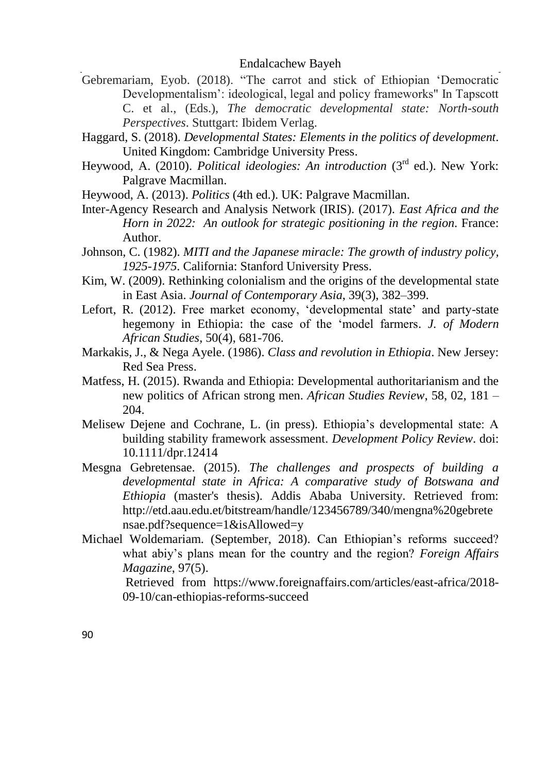- Gebremariam, Eyob. (2018). "The carrot and stick of Ethiopian 'Democratic Developmentalism': ideological, legal and policy frameworks" In Tapscott C. et al., (Eds.), *The democratic developmental state: North-south Perspectives*. Stuttgart: Ibidem Verlag.
- Haggard, S. (2018). *Developmental States: Elements in the politics of development*. United Kingdom: Cambridge University Press.
- Heywood, A. (2010). *Political ideologies: An introduction* (3<sup>rd</sup> ed.). New York: Palgrave Macmillan.

Heywood, A. (2013). *Politics* (4th ed.). UK: Palgrave Macmillan.

- Inter-Agency Research and Analysis Network (IRIS). (2017). *East Africa and the Horn in 2022: An outlook for strategic positioning in the region*. France: Author.
- Johnson, C. (1982). *MITI and the Japanese miracle: The growth of industry policy, 1925-1975*. California: Stanford University Press.
- Kim, W. (2009). Rethinking colonialism and the origins of the developmental state in East Asia. *Journal of Contemporary Asia*, 39(3), 382–399.
- Lefort, R. (2012). Free market economy, 'developmental state' and party-state hegemony in Ethiopia: the case of the 'model farmers. *J. of Modern African Studies*, 50(4), 681-706.
- Markakis, J., & Nega Ayele. (1986). *Class and revolution in Ethiopia*. New Jersey: Red Sea Press.
- Matfess, H. (2015). Rwanda and Ethiopia: Developmental authoritarianism and the new politics of African strong men. *African Studies Review*, 58, 02, 181 – 204.
- Melisew Dejene and Cochrane, L. (in press). Ethiopia's developmental state: A building stability framework assessment. *Development Policy Review*. doi: 10.1111/dpr.12414
- Mesgna Gebretensae. (2015). *The challenges and prospects of building a developmental state in Africa: A comparative study of Botswana and Ethiopia* (master's thesis). Addis Ababa University. Retrieved from: [http://etd.aau.edu.et/bitstream/handle/123456789/340/mengna%20gebrete](http://etd.aau.edu.et/bitstream/handle/123456789/340/mengna%20gebretensae.pdf?sequence=1&isAllowed=y) [nsae.pdf?sequence=1&isAllowed=y](http://etd.aau.edu.et/bitstream/handle/123456789/340/mengna%20gebretensae.pdf?sequence=1&isAllowed=y)
- Michael Woldemariam. (September, 2018). Can Ethiopian's reforms succeed? what abiy's plans mean for the country and the region? *Foreign Affairs Magazine*, 97(5).

 Retrieved from [https://www.foreignaffairs.com/articles/east-africa/2018-](https://www.foreignaffairs.com/articles/east-africa/2018-09-10/can-ethiopias-reforms-succeed) [09-10/can-ethiopias-reforms-succeed](https://www.foreignaffairs.com/articles/east-africa/2018-09-10/can-ethiopias-reforms-succeed)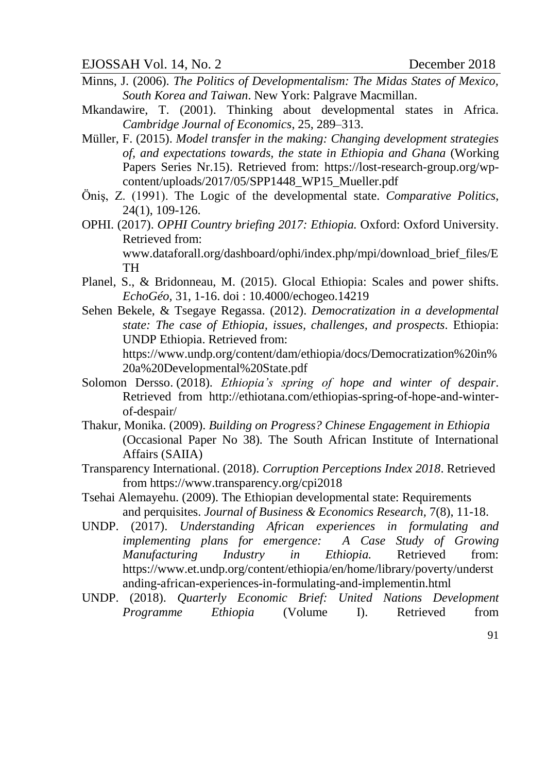- Minns, J. (2006). *The Politics of Developmentalism: The Midas States of Mexico, South Korea and Taiwan*. New York: Palgrave Macmillan.
- Mkandawire, T. (2001). Thinking about developmental states in Africa. *Cambridge Journal of Economics*, 25, 289–313.
- Müller, F. (2015). *Model transfer in the making: Changing development strategies of, and expectations towards, the state in Ethiopia and Ghana* (Working Papers Series Nr.15). Retrieved from: [https://lost-research-group.org/wp](https://lost-research-group.org/wp-content/uploads/2017/05/SPP1448_WP15_Mueller.pdf)[content/uploads/2017/05/SPP1448\\_WP15\\_Mueller.pdf](https://lost-research-group.org/wp-content/uploads/2017/05/SPP1448_WP15_Mueller.pdf)
- Öniş, Z. (1991). The Logic of the developmental state. *Comparative Politics*, 24(1), 109-126.
- OPHI. (2017). *OPHI Country briefing 2017: Ethiopia.* Oxford: Oxford University. Retrieved from:

[www.dataforall.org/dashboard/ophi/index.php/mpi/download\\_brief\\_files/E](http://www.dataforall.org/dashboard/ophi/index.php/mpi/download_brief_files/ETH) [TH](http://www.dataforall.org/dashboard/ophi/index.php/mpi/download_brief_files/ETH)

- Planel, S., & Bridonneau, M. (2015). Glocal Ethiopia: Scales and power shifts. *EchoGéo,* 31, 1-16. doi : 10.4000/echogeo.14219
- Sehen Bekele, & Tsegaye Regassa. (2012). *Democratization in a developmental state: The case of Ethiopia, issues, challenges, and prospects*. Ethiopia: UNDP Ethiopia. Retrieved from: [https://www.undp.org/content/dam/ethiopia/docs/Democratization%20in%](https://www.undp.org/content/dam/ethiopia/docs/Democratization%20in%20a%20Developmental%20State.pdf)

[20a%20Developmental%20State.pdf](https://www.undp.org/content/dam/ethiopia/docs/Democratization%20in%20a%20Developmental%20State.pdf)

- Solomon Dersso. (2018). *Ethiopia's spring of hope and winter of despair*. Retrieved from [http://ethiotana.com/ethiopias-spring-of-hope-and-winter](http://ethiotana.com/ethiopias-spring-of-hope-and-winter-of-despair/)[of-despair/](http://ethiotana.com/ethiopias-spring-of-hope-and-winter-of-despair/)
- Thakur, Monika. (2009). *Building on Progress? Chinese Engagement in Ethiopia* (Occasional Paper No 38)*.* The South African Institute of International Affairs (SAIIA)
- Transparency International. (2018). *Corruption Perceptions Index 2018*. Retrieved from<https://www.transparency.org/cpi2018>
- Tsehai Alemayehu. (2009). The Ethiopian developmental state: Requirements and perquisites. *Journal of Business & Economics Research,* 7(8), 11-18.
- UNDP. (2017). *Understanding African experiences in formulating and implementing plans for emergence: A Case Study of Growing Manufacturing Industry in Ethiopia.* Retrieved from: [https://www.et.undp.org/content/ethiopia/en/home/library/poverty/underst](https://www.et.undp.org/content/ethiopia/en/home/library/poverty/understanding-african-experiences-in-formulating-and-implementin.html) [anding-african-experiences-in-formulating-and-implementin.html](https://www.et.undp.org/content/ethiopia/en/home/library/poverty/understanding-african-experiences-in-formulating-and-implementin.html)
- UNDP. (2018). *Quarterly Economic Brief: United Nations Development Programme Ethiopia* (Volume I). Retrieved from